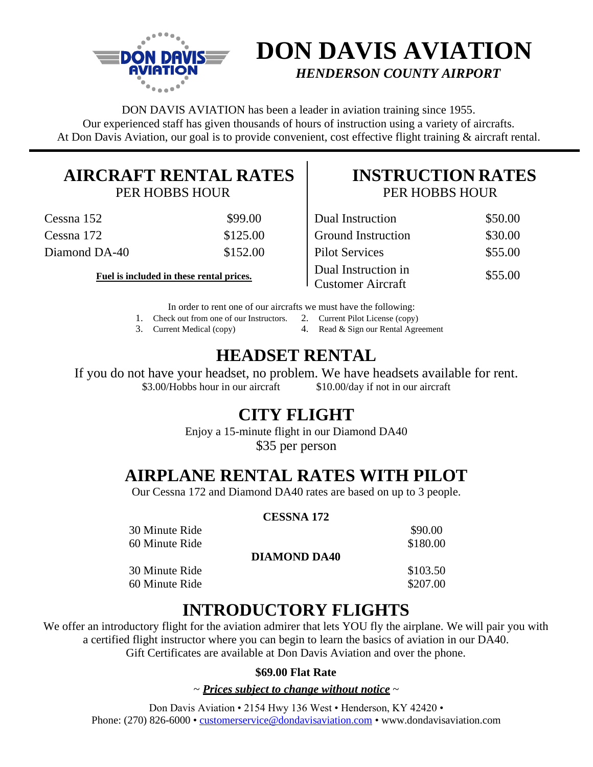

# **DON DAVIS AVIATION** *HENDERSON COUNTY AIRPORT*

DON DAVIS AVIATION has been a leader in aviation training since 1955. Our experienced staff has given thousands of hours of instruction using a variety of aircrafts. At Don Davis Aviation, our goal is to provide convenient, cost effective flight training & aircraft rental.

# **AIRCRAFT RENTAL RATES**

PER HOBBS HOUR

| Cessna 152    | \$99.00  | Dual Instruction          | \$50.00 |
|---------------|----------|---------------------------|---------|
| Cessna 172    | \$125.00 | <b>Ground Instruction</b> | \$30.00 |
| Diamond DA-40 | \$152.00 | <b>Pilot Services</b>     | \$55.00 |

Fuel is included in these rental prices.

### **INSTRUCTION RATES** PER HOBBS HOUR

| Dual Instruction                                | \$50.00 |
|-------------------------------------------------|---------|
| <b>Ground Instruction</b>                       | \$30.00 |
| <b>Pilot Services</b>                           | \$55.00 |
| Dual Instruction in<br><b>Customer Aircraft</b> | \$55.00 |

In order to rent one of our aircrafts we must have the following:

1. Check out from one of our Instructors. 2. Current Pilot License (copy)

3. Current Medical (copy) 4. Read & Sign our Rental Agreement

## **HEADSET RENTAL**

If you do not have your headset, no problem. We have headsets available for rent. \$3.00/Hobbs hour in our aircraft \$10.00/day if not in our aircraft

### **CITY FLIGHT**

Enjoy a 15-minute flight in our Diamond DA40 \$35 per person

## **AIRPLANE RENTAL RATES WITH PILOT**

Our Cessna 172 and Diamond DA40 rates are based on up to 3 people.

#### **CESSNA 172**

| 30 Minute Ride |                     | \$90.00  |
|----------------|---------------------|----------|
| 60 Minute Ride |                     | \$180.00 |
|                | <b>DIAMOND DA40</b> |          |
| 30 Minute Ride |                     | \$103.50 |
| 60 Minute Ride |                     | \$207.00 |
|                |                     |          |

### **INTRODUCTORY FLIGHTS**

We offer an introductory flight for the aviation admirer that lets YOU fly the airplane. We will pair you with a certified flight instructor where you can begin to learn the basics of aviation in our DA40. Gift Certificates are available at Don Davis Aviation and over the phone.

#### **\$69.00 Flat Rate**

~ *Prices subject to change without notice* ~

Don Davis Aviation • 2154 Hwy 136 West • Henderson, KY 42420 • Phone: (270) 826-6000 • [customerservice@dondavisaviation.com](mailto:customerservice@dondavisaviation.com) • www.dondavisaviation.com